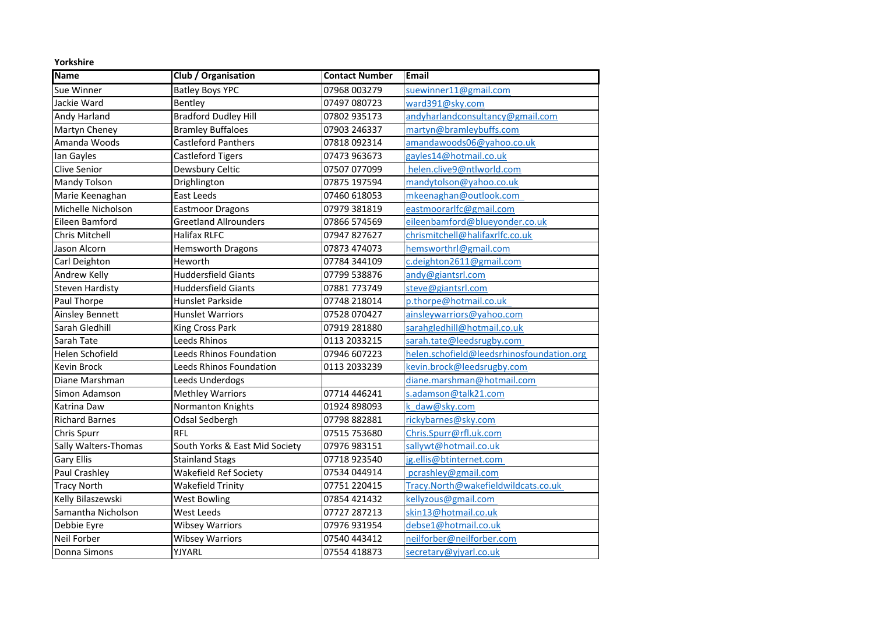| Yorkshire              |                                |                       |                                           |  |
|------------------------|--------------------------------|-----------------------|-------------------------------------------|--|
| <b>Name</b>            | Club / Organisation            | <b>Contact Number</b> | <b>Email</b>                              |  |
| Sue Winner             | <b>Batley Boys YPC</b>         | 07968 003279          | suewinner11@gmail.com                     |  |
| Jackie Ward            | Bentley                        | 07497 080723          | ward391@sky.com                           |  |
| Andy Harland           | <b>Bradford Dudley Hill</b>    | 07802 935173          | andyharlandconsultancy@gmail.com          |  |
| Martyn Cheney          | <b>Bramley Buffaloes</b>       | 07903 246337          | martyn@bramleybuffs.com                   |  |
| Amanda Woods           | <b>Castleford Panthers</b>     | 07818 092314          | amandawoods06@yahoo.co.uk                 |  |
| lan Gayles             | <b>Castleford Tigers</b>       | 07473 963673          | gayles14@hotmail.co.uk                    |  |
| <b>Clive Senior</b>    | Dewsbury Celtic                | 07507 077099          | helen.clive9@ntlworld.com                 |  |
| <b>Mandy Tolson</b>    | Drighlington                   | 07875 197594          | mandytolson@yahoo.co.uk                   |  |
| Marie Keenaghan        | <b>East Leeds</b>              | 07460 618053          | mkeenaghan@outlook.com                    |  |
| Michelle Nicholson     | <b>Eastmoor Dragons</b>        | 07979 381819          | eastmoorarlfc@gmail.com                   |  |
| Eileen Bamford         | <b>Greetland Allrounders</b>   | 07866 574569          | eileenbamford@blueyonder.co.uk            |  |
| <b>Chris Mitchell</b>  | <b>Halifax RLFC</b>            | 07947 827627          | chrismitchell@halifaxrlfc.co.uk           |  |
| Jason Alcorn           | <b>Hemsworth Dragons</b>       | 07873 474073          | hemsworthrl@gmail.com                     |  |
| Carl Deighton          | Heworth                        | 07784 344109          | c.deighton2611@gmail.com                  |  |
| Andrew Kelly           | <b>Huddersfield Giants</b>     | 07799 538876          | andy@giantsrl.com                         |  |
| <b>Steven Hardisty</b> | <b>Huddersfield Giants</b>     | 07881 773749          | steve@giantsrl.com                        |  |
| Paul Thorpe            | Hunslet Parkside               | 07748 218014          | p.thorpe@hotmail.co.uk                    |  |
| Ainsley Bennett        | <b>Hunslet Warriors</b>        | 07528 070427          | ainsleywarriors@yahoo.com                 |  |
| Sarah Gledhill         | King Cross Park                | 07919 281880          | sarahgledhill@hotmail.co.uk               |  |
| Sarah Tate             | <b>Leeds Rhinos</b>            | 0113 2033215          | sarah.tate@leedsrugby.com                 |  |
| Helen Schofield        | Leeds Rhinos Foundation        | 07946 607223          | helen.schofield@leedsrhinosfoundation.org |  |
| Kevin Brock            | Leeds Rhinos Foundation        | 0113 2033239          | kevin.brock@leedsrugby.com                |  |
| Diane Marshman         | Leeds Underdogs                |                       | diane.marshman@hotmail.com                |  |
| Simon Adamson          | <b>Methley Warriors</b>        | 07714 446241          | s.adamson@talk21.com                      |  |
| Katrina Daw            | Normanton Knights              | 01924 898093          | k daw@sky.com                             |  |
| <b>Richard Barnes</b>  | Odsal Sedbergh                 | 07798 882881          | rickybarnes@sky.com                       |  |
| Chris Spurr            | <b>RFL</b>                     | 07515 753680          | Chris.Spurr@rfl.uk.com                    |  |
| Sally Walters-Thomas   | South Yorks & East Mid Society | 07976 983151          | sallywt@hotmail.co.uk                     |  |
| <b>Gary Ellis</b>      | <b>Stainland Stags</b>         | 07718 923540          | jg.ellis@btinternet.com                   |  |
| Paul Crashley          | <b>Wakefield Ref Society</b>   | 07534 044914          | pcrashley@gmail.com                       |  |
| <b>Tracy North</b>     | Wakefield Trinity              | 07751 220415          | Tracy.North@wakefieldwildcats.co.uk       |  |
| Kelly Bilaszewski      | <b>West Bowling</b>            | 07854 421432          | kellyzous@gmail.com                       |  |
| Samantha Nicholson     | West Leeds                     | 07727 287213          | skin13@hotmail.co.uk                      |  |
| Debbie Eyre            | <b>Wibsey Warriors</b>         | 07976 931954          | debse1@hotmail.co.uk                      |  |
| Neil Forber            | <b>Wibsey Warriors</b>         | 07540 443412          | neilforber@neilforber.com                 |  |
| Donna Simons           | YJYARL                         | 07554 418873          | secretary@yjyarl.co.uk                    |  |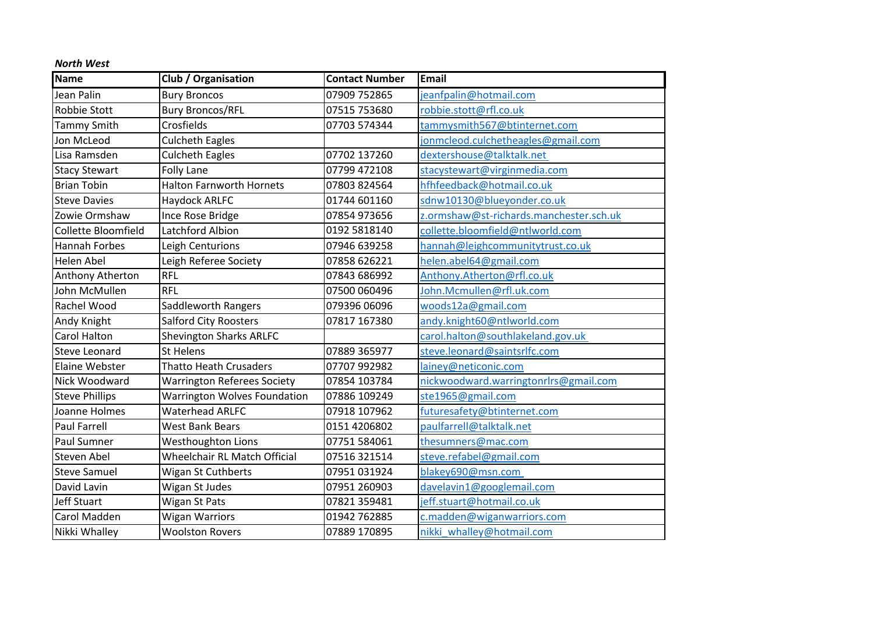| <b>Name</b>           | Club / Organisation                 | <b>Contact Number</b> | <b>Email</b>                            |
|-----------------------|-------------------------------------|-----------------------|-----------------------------------------|
| Jean Palin            | <b>Bury Broncos</b>                 | 07909 752865          | jeanfpalin@hotmail.com                  |
| <b>Robbie Stott</b>   | <b>Bury Broncos/RFL</b>             | 07515 753680          | robbie.stott@rfl.co.uk                  |
| <b>Tammy Smith</b>    | Crosfields                          | 07703 574344          | tammysmith567@btinternet.com            |
| Jon McLeod            | <b>Culcheth Eagles</b>              |                       | jonmcleod.culchetheagles@gmail.com      |
| Lisa Ramsden          | <b>Culcheth Eagles</b>              | 07702 137260          | dextershouse@talktalk.net               |
| <b>Stacy Stewart</b>  | <b>Folly Lane</b>                   | 07799 472108          | stacystewart@virginmedia.com            |
| <b>Brian Tobin</b>    | <b>Halton Farnworth Hornets</b>     | 07803 824564          | hfhfeedback@hotmail.co.uk               |
| <b>Steve Davies</b>   | Haydock ARLFC                       | 01744 601160          | sdnw10130@blueyonder.co.uk              |
| Zowie Ormshaw         | Ince Rose Bridge                    | 07854 973656          | z.ormshaw@st-richards.manchester.sch.uk |
| Collette Bloomfield   | Latchford Albion                    | 0192 5818140          | collette.bloomfield@ntlworld.com        |
| <b>Hannah Forbes</b>  | Leigh Centurions                    | 07946 639258          | hannah@leighcommunitytrust.co.uk        |
| <b>Helen Abel</b>     | Leigh Referee Society               | 07858 626221          | helen.abel64@gmail.com                  |
| Anthony Atherton      | <b>RFL</b>                          | 07843 686992          | Anthony.Atherton@rfl.co.uk              |
| John McMullen         | <b>RFL</b>                          | 07500 060496          | John.Mcmullen@rfl.uk.com                |
| <b>Rachel Wood</b>    | Saddleworth Rangers                 | 079396 06096          | woods12a@gmail.com                      |
| Andy Knight           | <b>Salford City Roosters</b>        | 07817 167380          | andy.knight60@ntlworld.com              |
| <b>Carol Halton</b>   | <b>Shevington Sharks ARLFC</b>      |                       | carol.halton@southlakeland.gov.uk       |
| <b>Steve Leonard</b>  | <b>St Helens</b>                    | 07889 365977          | steve.leonard@saintsrlfc.com            |
| <b>Elaine Webster</b> | <b>Thatto Heath Crusaders</b>       | 07707 992982          | lainey@neticonic.com                    |
| Nick Woodward         | <b>Warrington Referees Society</b>  | 07854 103784          | nickwoodward.warringtonrlrs@gmail.com   |
| <b>Steve Phillips</b> | <b>Warrington Wolves Foundation</b> | 07886 109249          | ste1965@gmail.com                       |
| Joanne Holmes         | <b>Waterhead ARLFC</b>              | 07918 107962          | futuresafety@btinternet.com             |
| Paul Farrell          | <b>West Bank Bears</b>              | 0151 4206802          | paulfarrell@talktalk.net                |
| <b>Paul Sumner</b>    | Westhoughton Lions                  | 07751 584061          | thesumners@mac.com                      |
| <b>Steven Abel</b>    | <b>Wheelchair RL Match Official</b> | 07516 321514          | steve.refabel@gmail.com                 |
| <b>Steve Samuel</b>   | Wigan St Cuthberts                  | 07951031924           | blakey690@msn.com                       |
| David Lavin           | Wigan St Judes                      | 07951 260903          | davelavin1@googlemail.com               |
| <b>Jeff Stuart</b>    | Wigan St Pats                       | 07821 359481          | jeff.stuart@hotmail.co.uk               |
| Carol Madden          | <b>Wigan Warriors</b>               | 01942 762885          | c.madden@wiganwarriors.com              |
| Nikki Whalley         | <b>Woolston Rovers</b>              | 07889 170895          | nikki whalley@hotmail.com               |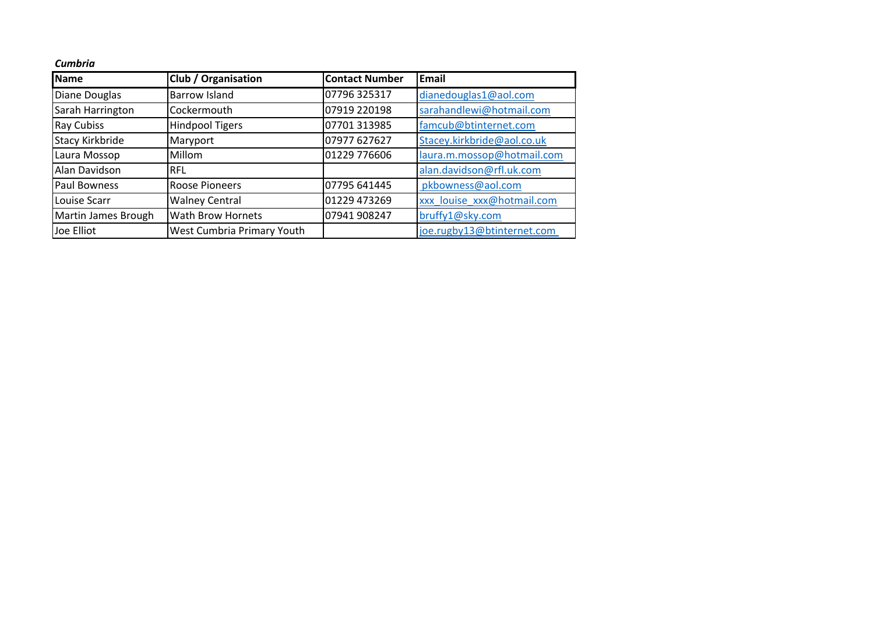| Cumbria |  |
|---------|--|
|         |  |

| Name                   | <b>Club / Organisation</b> | <b>Contact Number</b> | Email                      |
|------------------------|----------------------------|-----------------------|----------------------------|
| Diane Douglas          | <b>Barrow Island</b>       | 07796 325317          | dianedouglas1@aol.com      |
| Sarah Harrington       | Cockermouth                | 07919 220198          | sarahandlewi@hotmail.com   |
| <b>Ray Cubiss</b>      | <b>Hindpool Tigers</b>     | 07701 313985          | famcub@btinternet.com      |
| <b>Stacy Kirkbride</b> | Maryport                   | 07977 627627          | Stacey.kirkbride@aol.co.uk |
| Laura Mossop           | Millom                     | 01229 776606          | laura.m.mossop@hotmail.com |
| Alan Davidson          | <b>RFL</b>                 |                       | alan.davidson@rfl.uk.com   |
| <b>Paul Bowness</b>    | Roose Pioneers             | 07795 641445          | pkbowness@aol.com          |
| Louise Scarr           | <b>Walney Central</b>      | 01229 473269          | xxx louise xxx@hotmail.com |
| Martin James Brough    | <b>Wath Brow Hornets</b>   | 07941 908247          | bruffy1@sky.com            |
| Joe Elliot             | West Cumbria Primary Youth |                       | joe.rugby13@btinternet.com |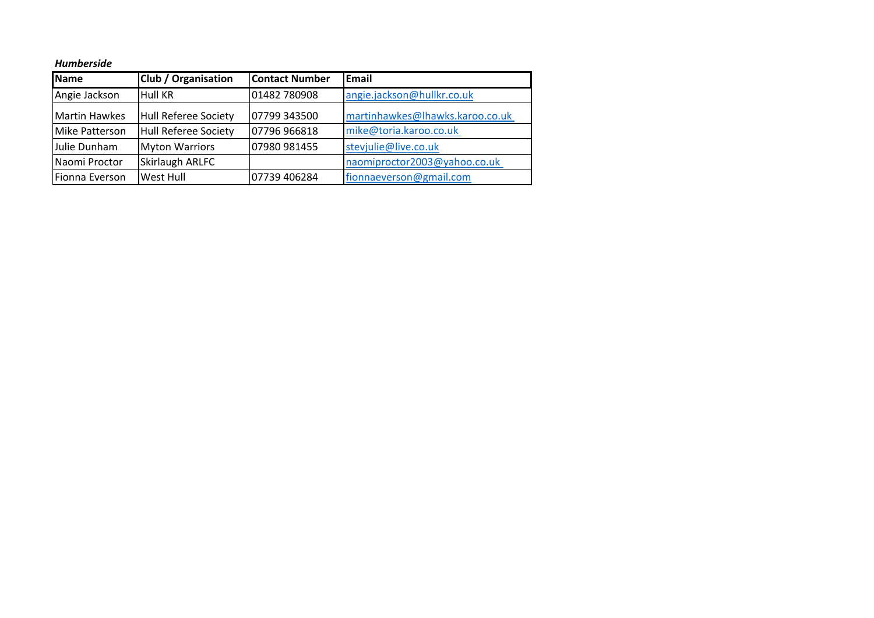## *Humberside*

| Name                  | <b>Club / Organisation</b>  | <b>Contact Number</b> | <b>Email</b>                    |
|-----------------------|-----------------------------|-----------------------|---------------------------------|
| Angie Jackson         | <b>Hull KR</b>              | 01482 780908          | angie.jackson@hullkr.co.uk      |
| <b>Martin Hawkes</b>  | <b>Hull Referee Society</b> | 07799 343500          | martinhawkes@lhawks.karoo.co.uk |
| <b>Mike Patterson</b> | <b>Hull Referee Society</b> | 07796 966818          | mike@toria.karoo.co.uk          |
| Julie Dunham          | <b>Myton Warriors</b>       | 07980 981455          | stevjulie@live.co.uk            |
| Naomi Proctor         | <b>Skirlaugh ARLFC</b>      |                       | naomiproctor2003@yahoo.co.uk    |
| Fionna Everson        | <b>West Hull</b>            | 07739 406284          | fionnaeverson@gmail.com         |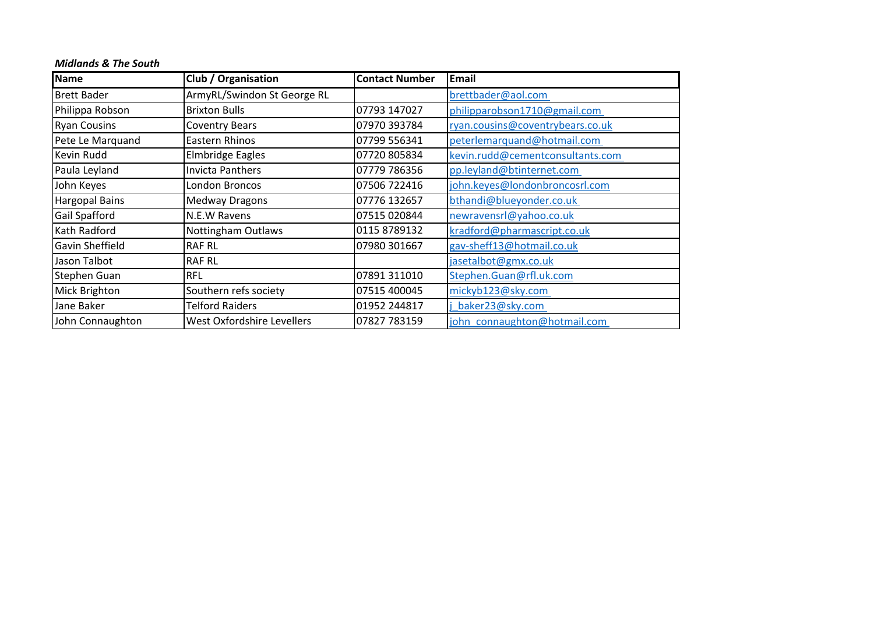| <b>Midlands &amp; The South</b> |  |  |  |
|---------------------------------|--|--|--|
|---------------------------------|--|--|--|

| <b>Name</b>            | Club / Organisation               | <b>Contact Number</b> | <b>Email</b>                     |
|------------------------|-----------------------------------|-----------------------|----------------------------------|
| <b>Brett Bader</b>     | ArmyRL/Swindon St George RL       |                       | brettbader@aol.com               |
| Philippa Robson        | <b>Brixton Bulls</b>              | 07793 147027          | philipparobson1710@gmail.com     |
| <b>Ryan Cousins</b>    | <b>Coventry Bears</b>             | 07970 393784          | ryan.cousins@coventrybears.co.uk |
| Pete Le Marquand       | Eastern Rhinos                    | 07799 556341          | peterlemarquand@hotmail.com      |
| Kevin Rudd             | <b>Elmbridge Eagles</b>           | 07720 805834          | kevin.rudd@cementconsultants.com |
| Paula Leyland          | <b>Invicta Panthers</b>           | 07779 786356          | pp.leyland@btinternet.com        |
| John Keyes             | London Broncos                    | 07506 722416          | john.keyes@londonbroncosrl.com   |
| Hargopal Bains         | <b>Medway Dragons</b>             | 07776 132657          | bthandi@blueyonder.co.uk         |
| <b>Gail Spafford</b>   | N.E.W Ravens                      | 07515 020844          | newravensrl@yahoo.co.uk          |
| Kath Radford           | Nottingham Outlaws                | 0115 8789132          | kradford@pharmascript.co.uk      |
| <b>Gavin Sheffield</b> | <b>RAF RL</b>                     | 07980 301667          | gav-sheff13@hotmail.co.uk        |
| Jason Talbot           | <b>RAF RL</b>                     |                       | jasetalbot@gmx.co.uk             |
| Stephen Guan           | <b>RFL</b>                        | 07891 311010          | Stephen.Guan@rfl.uk.com          |
| Mick Brighton          | Southern refs society             | 07515 400045          | mickyb123@sky.com                |
| Jane Baker             | <b>Telford Raiders</b>            | 01952 244817          | baker23@sky.com                  |
| John Connaughton       | <b>West Oxfordshire Levellers</b> | 07827 783159          | john connaughton@hotmail.com     |